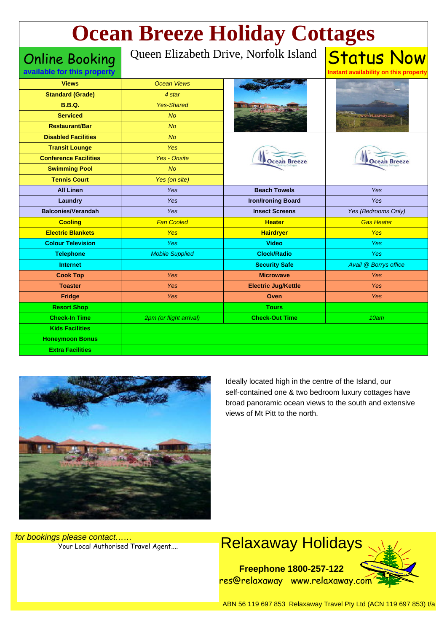| <b>Ocean Breeze Holiday Cottages</b>                 |                                       |                            |                                                            |
|------------------------------------------------------|---------------------------------------|----------------------------|------------------------------------------------------------|
| <b>Online Booking</b><br>available for this property | Queen Elizabeth Drive, Norfolk Island |                            | <b>Status Now</b><br>Instant availability on this property |
| <b>Views</b>                                         | <b>Ocean Views</b>                    |                            |                                                            |
| <b>Standard (Grade)</b>                              | 4 star                                |                            |                                                            |
| <b>B.B.Q.</b>                                        | <b>Yes-Shared</b>                     |                            |                                                            |
| <b>Serviced</b>                                      | <b>No</b>                             |                            |                                                            |
| <b>Restaurant/Bar</b>                                | <b>No</b>                             |                            |                                                            |
| <b>Disabled Facilities</b>                           | <b>No</b>                             | <b>Ocean Breeze</b>        | <b>Ocean Breeze</b>                                        |
| <b>Transit Lounge</b>                                | <b>Yes</b>                            |                            |                                                            |
| <b>Conference Facilities</b>                         | <b>Yes - Onsite</b>                   |                            |                                                            |
| <b>Swimming Pool</b>                                 | <b>No</b>                             |                            |                                                            |
| <b>Tennis Court</b>                                  | Yes (on site)                         |                            |                                                            |
| <b>All Linen</b>                                     | <b>Yes</b>                            | <b>Beach Towels</b>        | <b>Yes</b>                                                 |
| Laundry                                              | <b>Yes</b>                            | <b>Iron/Ironing Board</b>  | <b>Yes</b>                                                 |
| <b>Balconies/Verandah</b>                            | <b>Yes</b>                            | <b>Insect Screens</b>      | Yes (Bedrooms Only)                                        |
| <b>Cooling</b>                                       | <b>Fan Cooled</b>                     | <b>Heater</b>              | <b>Gas Heater</b>                                          |
| <b>Electric Blankets</b>                             | <b>Yes</b>                            | <b>Hairdryer</b>           | <b>Yes</b>                                                 |
| <b>Colour Television</b>                             | Yes                                   | <b>Video</b>               | Yes.                                                       |
| <b>Telephone</b>                                     | <b>Mobile Supplied</b>                | <b>Clock/Radio</b>         | <b>Yes</b>                                                 |
| <b>Internet</b>                                      |                                       | <b>Security Safe</b>       | Avail @ Borrys office                                      |
| <b>Cook Top</b>                                      | Yes                                   | <b>Microwave</b>           | <b>Yes</b>                                                 |
| <b>Toaster</b>                                       | Yes                                   | <b>Electric Jug/Kettle</b> | <b>Yes</b>                                                 |
| <b>Fridge</b>                                        | Yes                                   | Oven                       | <b>Yes</b>                                                 |
| <b>Resort Shop</b>                                   |                                       | <b>Tours</b>               |                                                            |
| <b>Check-In Time</b>                                 | 2pm (or flight arrival)               | <b>Check-Out Time</b>      | 10am                                                       |
| <b>Kids Facilities</b>                               |                                       |                            |                                                            |
| <b>Honeymoon Bonus</b>                               |                                       |                            |                                                            |
| <b>Extra Facilities</b>                              |                                       |                            |                                                            |



Ideally located high in the centre of the Island, our self-contained one & two bedroom luxury cottages have broad panoramic ocean views to the south and extensive views of Mt Pitt to the north.

for bookings please contact……